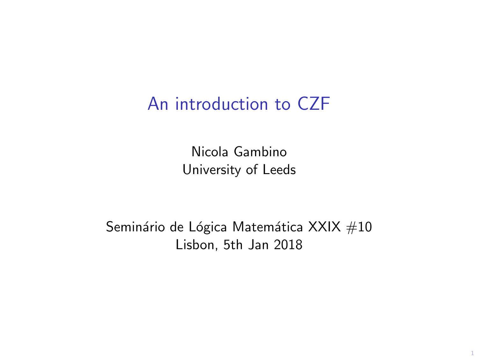## An introduction to CZF

Nicola Gambino University of Leeds

Seminário de Lógica Matemática XXIX  $#10$ Lisbon, 5th Jan 2018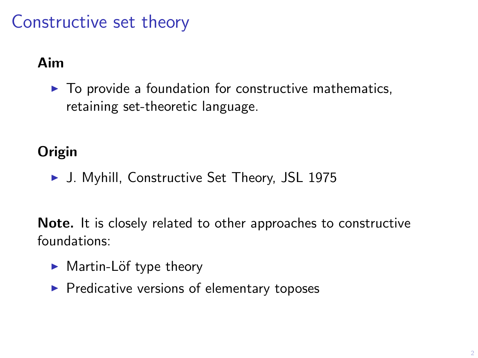# Constructive set theory

### Aim

 $\blacktriangleright$  To provide a foundation for constructive mathematics, retaining set-theoretic language.

### **Origin**

▶ J. Myhill, Constructive Set Theory, JSL 1975

Note. It is closely related to other approaches to constructive foundations:

- $\blacktriangleright$  Martin-Löf type theory
- $\blacktriangleright$  Predicative versions of elementary toposes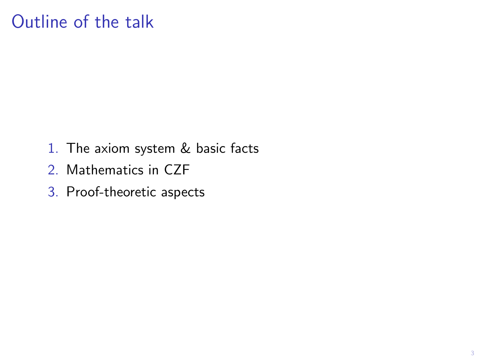## Outline of the talk

- 1. The axiom system & basic facts
- 2. Mathematics in CZF
- 3. Proof-theoretic aspects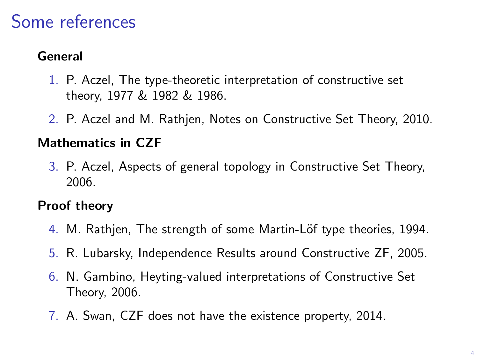## Some references

#### General

- 1. P. Aczel, The type-theoretic interpretation of constructive set theory, 1977 & 1982 & 1986.
- 2. P. Aczel and M. Rathjen, Notes on Constructive Set Theory, 2010.

#### Mathematics in CZF

3. P. Aczel, Aspects of general topology in Constructive Set Theory, 2006.

#### Proof theory

- 4. M. Rathjen, The strength of some Martin-Löf type theories, 1994.
- 5. R. Lubarsky, Independence Results around Constructive ZF, 2005.
- 6. N. Gambino, Heyting-valued interpretations of Constructive Set Theory, 2006.
- 7. A. Swan, CZF does not have the existence property, 2014.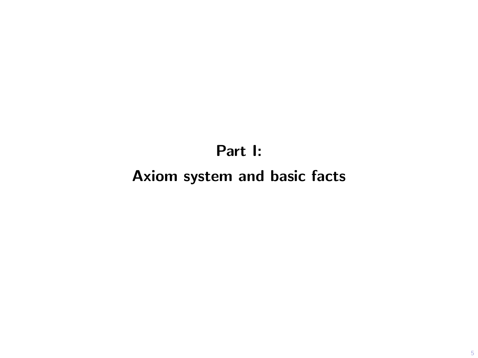### Part I:

### Axiom system and basic facts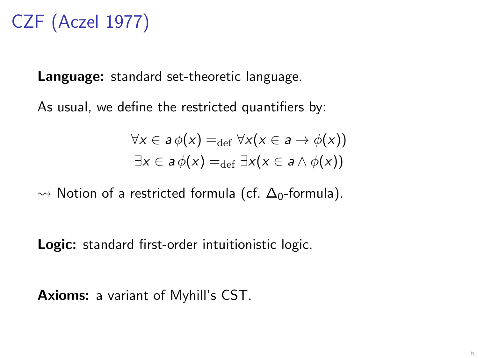# CZF (Aczel 1977)

Language: standard set-theoretic language.

As usual, we define the restricted quantifiers by:

$$
\forall x \in a \phi(x) =_{\text{def}} \forall x (x \in a \rightarrow \phi(x))
$$
  

$$
\exists x \in a \phi(x) =_{\text{def}} \exists x (x \in a \land \phi(x))
$$

 $\rightarrow$  Notion of a restricted formula (cf.  $\Delta_0$ -formula).

Logic: standard first-order intuitionistic logic.

Axioms: a variant of Myhill's CST.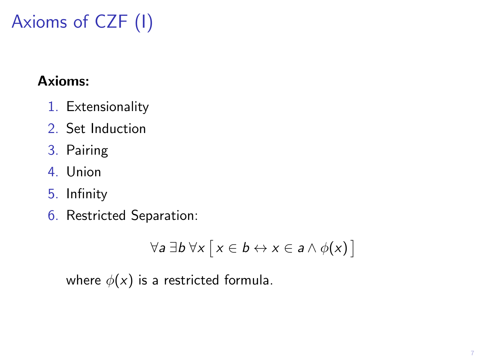# Axioms of CZF (I)

### Axioms:

- 1. Extensionality
- 2. Set Induction
- 3. Pairing
- 4. Union
- 5. Infinity
- 6. Restricted Separation:

$$
\forall a \ \exists b \ \forall x \ [x \in b \leftrightarrow x \in a \land \phi(x)]
$$

where  $\phi(x)$  is a restricted formula.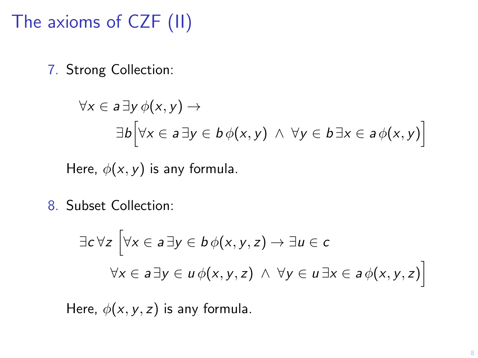# The axioms of CZF (II)

7. Strong Collection:

$$
\forall x \in a \exists y \phi(x, y) \rightarrow
$$
  

$$
\exists b \Big[ \forall x \in a \exists y \in b \phi(x, y) \land \forall y \in b \exists x \in a \phi(x, y) \Big]
$$

Here,  $\phi(x, y)$  is any formula.

8. Subset Collection:

$$
\exists c \forall z \left[ \forall x \in a \exists y \in b \phi(x, y, z) \to \exists u \in c \right]
$$

$$
\forall x \in a \exists y \in u \phi(x, y, z) \land \forall y \in u \exists x \in a \phi(x, y, z) \right]
$$

Here,  $\phi(x, y, z)$  is any formula.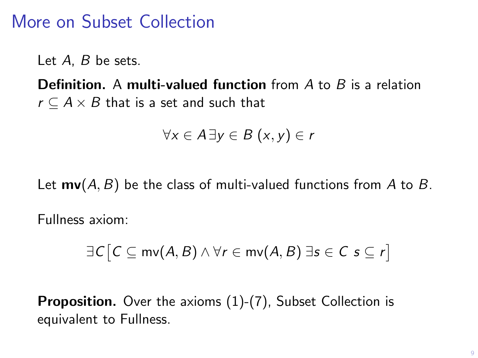## More on Subset Collection

Let A, B be sets.

**Definition.** A multi-valued function from A to B is a relation  $r \subseteq A \times B$  that is a set and such that

$$
\forall x \in A \exists y \in B \ (x, y) \in r
$$

Let  $mv(A, B)$  be the class of multi-valued functions from A to B.

Fullness axiom:

$$
\exists C \big[ C \subseteq mv(A, B) \land \forall r \in mv(A, B) \exists s \in C \ s \subseteq r \big]
$$

Proposition. Over the axioms (1)-(7), Subset Collection is equivalent to Fullness.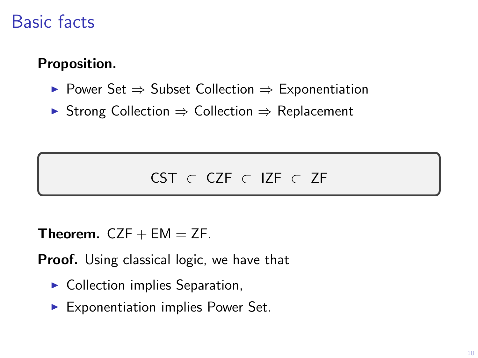## Basic facts

#### Proposition.

- $\triangleright$  Power Set  $\Rightarrow$  Subset Collection  $\Rightarrow$  Exponentiation
- $\triangleright$  Strong Collection  $\Rightarrow$  Collection  $\Rightarrow$  Replacement

### CST ⊂ CZF ⊂ IZF ⊂ ZF

**Theorem.**  $CZF + EM = ZF$ .

**Proof.** Using classical logic, we have that

- $\blacktriangleright$  Collection implies Separation,
- $\blacktriangleright$  Exponentiation implies Power Set.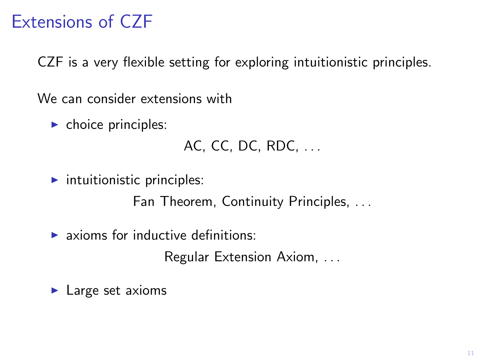# Extensions of CZF

CZF is a very flexible setting for exploring intuitionistic principles.

We can consider extensions with

 $\blacktriangleright$  choice principles:

```
AC, CC, DC, RDC, . . .
```
 $\blacktriangleright$  intuitionistic principles:

Fan Theorem, Continuity Principles, . . .

 $\blacktriangleright$  axioms for inductive definitions:

Regular Extension Axiom, . . .

 $\blacktriangleright$  Large set axioms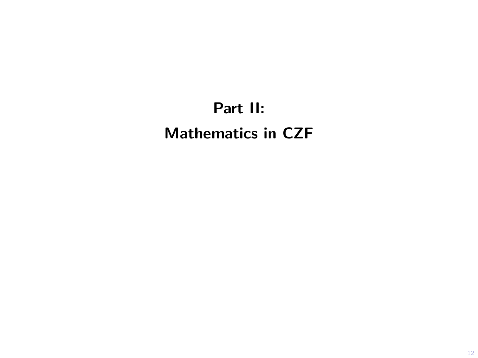# Part II: Mathematics in CZF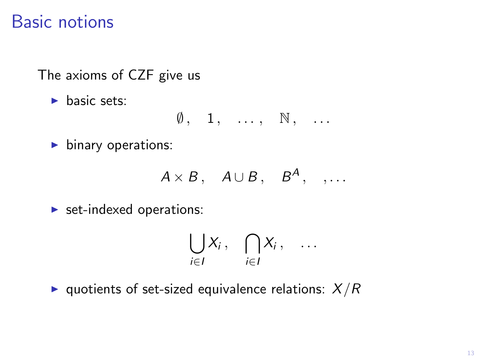## Basic notions

The axioms of CZF give us

 $\blacktriangleright$  basic sets:

$$
\emptyset, \quad 1, \quad \ldots, \quad \mathbb{N}, \quad \ldots
$$

 $\blacktriangleright$  binary operations:

$$
A \times B, \quad A \cup B, \quad B^A, \quad, \ldots
$$

 $\triangleright$  set-indexed operations:

$$
\bigcup_{i\in I}X_i\,,\quad \bigcap_{i\in I}X_i\,,\quad \ldots
$$

 $\blacktriangleright$  quotients of set-sized equivalence relations:  $X/R$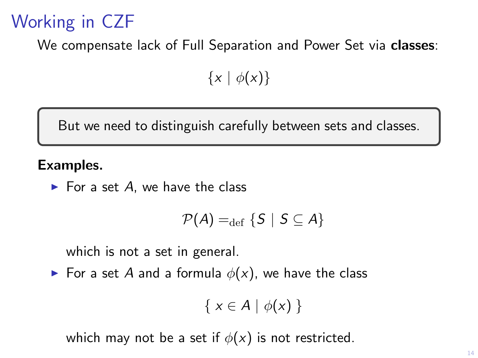# Working in CZF

We compensate lack of Full Separation and Power Set via classes:

 $\{x \mid \phi(x)\}\$ 

But we need to distinguish carefully between sets and classes.

#### Examples.

 $\blacktriangleright$  For a set A, we have the class

$$
\mathcal{P}(A) =_{\text{def}} \{S \mid S \subseteq A\}
$$

which is not a set in general.

For a set A and a formula  $\phi(x)$ , we have the class

$$
\{x\in A\mid \phi(x)\}
$$

which may not be a set if  $\phi(x)$  is not restricted.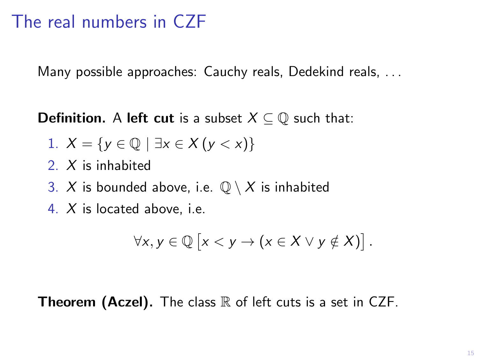## The real numbers in CZF

Many possible approaches: Cauchy reals, Dedekind reals, ...

**Definition.** A **left cut** is a subset  $X \subseteq \mathbb{Q}$  such that:

1. 
$$
X = \{y \in \mathbb{Q} \mid \exists x \in X \ (y < x)\}
$$

- 2. X is inhabited
- 3. X is bounded above, i.e.  $\mathbb{Q} \setminus X$  is inhabited
- 4. X is located above, i.e.

$$
\forall x, y \in \mathbb{Q} \left[ x < y \to (x \in X \vee y \notin X) \right].
$$

#### **Theorem (Aczel).** The class  $\mathbb R$  of left cuts is a set in CZF.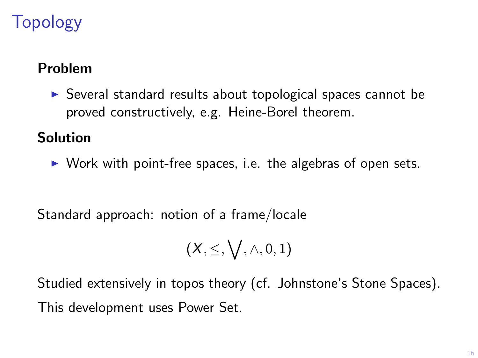# Topology

### Problem

 $\triangleright$  Several standard results about topological spaces cannot be proved constructively, e.g. Heine-Borel theorem.

### Solution

 $\triangleright$  Work with point-free spaces, i.e. the algebras of open sets.

Standard approach: notion of a frame/locale

$$
(X,\leq,\bigvee,\wedge,0,1)
$$

Studied extensively in topos theory (cf. Johnstone's Stone Spaces). This development uses Power Set.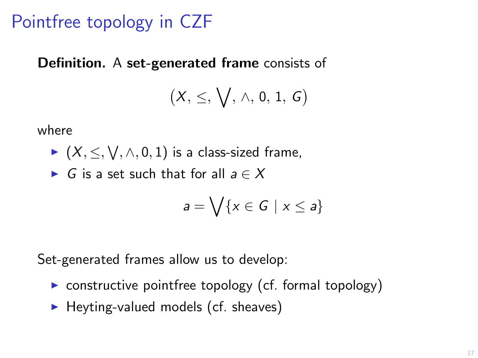## Pointfree topology in CZF

#### Definition. A set-generated frame consists of

$$
\big(X,\leq,\bigvee,\,\wedge,\,0,\,1,\,G\big)
$$

where

- $\blacktriangleright$   $(X, \leq, \bigvee, \wedge, 0, 1)$  is a class-sized frame,
- ► G is a set such that for all  $a \in X$

$$
a = \bigvee \{x \in G \mid x \leq a\}
$$

Set-generated frames allow us to develop:

- $\triangleright$  constructive pointfree topology (cf. formal topology)
- $\blacktriangleright$  Heyting-valued models (cf. sheaves)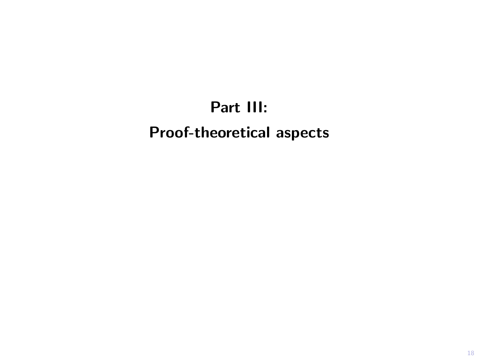# Part III: Proof-theoretical aspects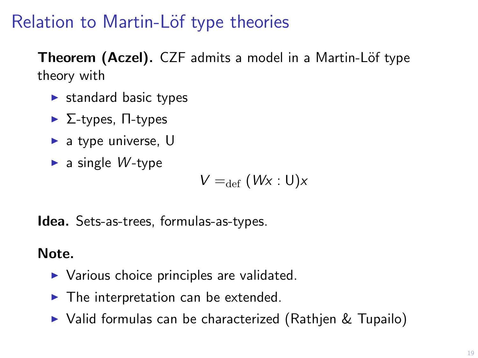## Relation to Martin-Löf type theories

Theorem (Aczel). CZF admits a model in a Martin-Löf type theory with

- $\blacktriangleright$  standard basic types
- $\blacktriangleright$  Σ-types, Π-types
- $\blacktriangleright$  a type universe, U
- $\blacktriangleright$  a single W-type

$$
V =_{\text{def}} (Wx : U)x
$$

Idea. Sets-as-trees, formulas-as-types.

Note.

- $\triangleright$  Various choice principles are validated.
- $\blacktriangleright$  The interpretation can be extended.
- $\triangleright$  Valid formulas can be characterized (Rathjen & Tupailo)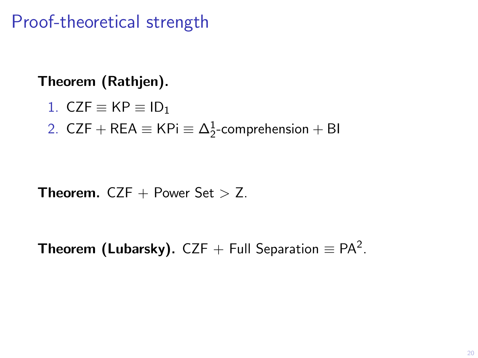Proof-theoretical strength

#### Theorem (Rathjen).

$$
1. \ \mathsf{CZF} \equiv \mathsf{KP} \equiv \mathsf{ID}_1
$$

2. CZF + REA  $\equiv$  KPi  $\equiv$   $\Delta^1_2$ -comprehension + BI

**Theorem.** CZF  $+$  Power Set  $>$  Z.

**Theorem (Lubarsky).** CZF + Full Separation  $\equiv$  PA<sup>2</sup>.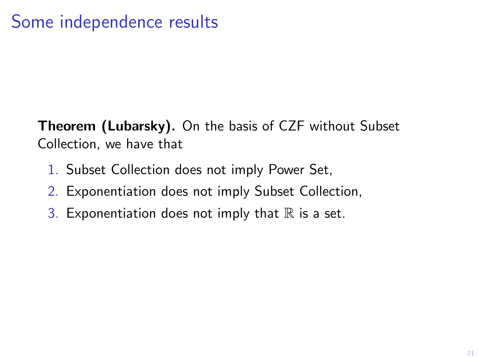## Some independence results

Theorem (Lubarsky). On the basis of CZF without Subset Collection, we have that

- 1. Subset Collection does not imply Power Set,
- 2. Exponentiation does not imply Subset Collection,
- 3. Exponentiation does not imply that  $\mathbb R$  is a set.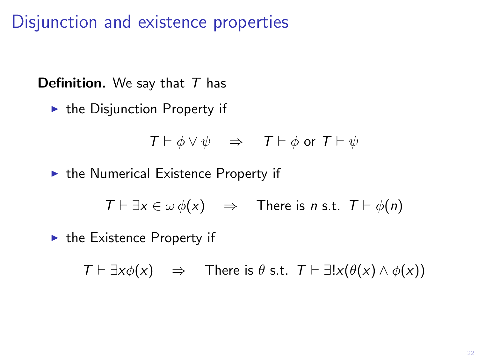Disjunction and existence properties

**Definition.** We say that  $T$  has

 $\blacktriangleright$  the Disjunction Property if

$$
T \vdash \phi \lor \psi \quad \Rightarrow \quad T \vdash \phi \text{ or } T \vdash \psi
$$

 $\blacktriangleright$  the Numerical Existence Property if

$$
T \vdash \exists x \in \omega \phi(x) \quad \Rightarrow \quad \text{There is } n \text{ s.t. } T \vdash \phi(n)
$$

 $\blacktriangleright$  the Existence Property if

$$
\mathcal{T} \vdash \exists x \phi(x) \quad \Rightarrow \quad \text{There is } \theta \text{ s.t. } \mathcal{T} \vdash \exists! x (\theta(x) \land \phi(x))
$$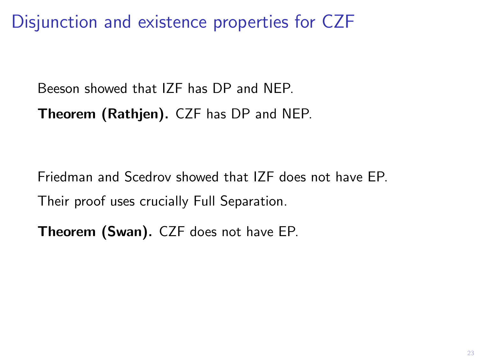Disjunction and existence properties for CZF

Beeson showed that IZF has DP and NEP.

Theorem (Rathjen). CZF has DP and NEP.

Friedman and Scedrov showed that IZF does not have EP. Their proof uses crucially Full Separation.

Theorem (Swan). CZF does not have EP.